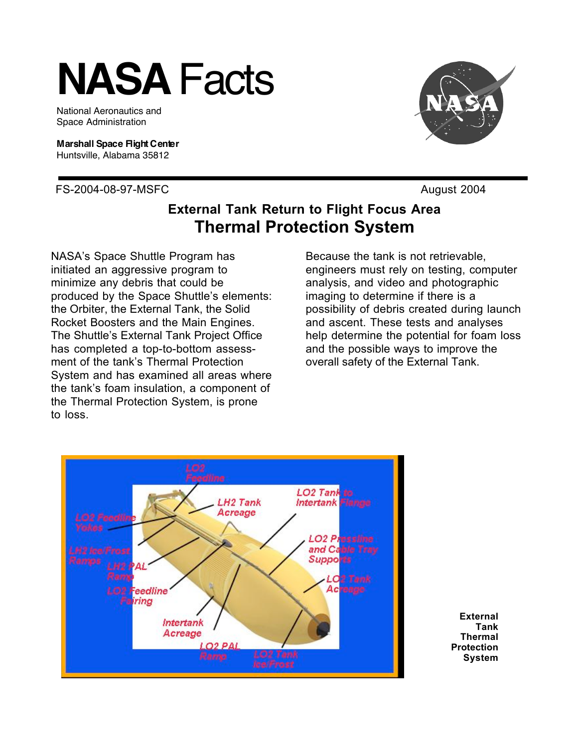## **NASA** Facts

National Aeronautics and Space Administration

**Marshall Space Flight Center** Huntsville, Alabama 35812

FS-2004-08-97-MSFC August 2004



## **External Tank Return to Flight Focus Area Thermal Protection System**

NASA's Space Shuttle Program has initiated an aggressive program to minimize any debris that could be produced by the Space Shuttle's elements: the Orbiter, the External Tank, the Solid Rocket Boosters and the Main Engines. The Shuttle's External Tank Project Office has completed a top-to-bottom assessment of the tank's Thermal Protection System and has examined all areas where the tank's foam insulation, a component of the Thermal Protection System, is prone to loss.

Because the tank is not retrievable, engineers must rely on testing, computer analysis, and video and photographic imaging to determine if there is a possibility of debris created during launch and ascent. These tests and analyses help determine the potential for foam loss and the possible ways to improve the overall safety of the External Tank.



**External Tank Thermal Protection System**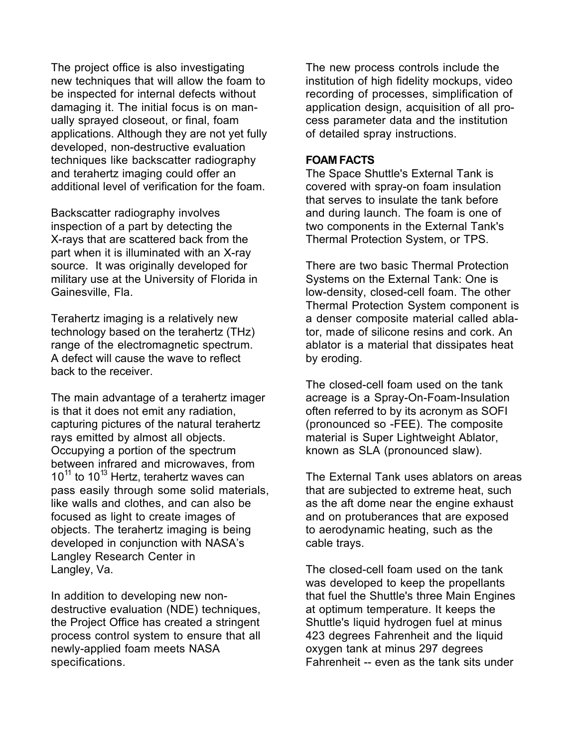The project office is also investigating new techniques that will allow the foam to be inspected for internal defects without damaging it. The initial focus is on manually sprayed closeout, or final, foam applications. Although they are not yet fully developed, non-destructive evaluation techniques like backscatter radiography and terahertz imaging could offer an additional level of verification for the foam.

Backscatter radiography involves inspection of a part by detecting the X-rays that are scattered back from the part when it is illuminated with an X-ray source. It was originally developed for military use at the University of Florida in Gainesville, Fla.

Terahertz imaging is a relatively new technology based on the terahertz (THz) range of the electromagnetic spectrum. A defect will cause the wave to reflect back to the receiver.

The main advantage of a terahertz imager is that it does not emit any radiation, capturing pictures of the natural terahertz rays emitted by almost all objects. Occupying a portion of the spectrum between infrared and microwaves, from  $10^{11}$  to  $10^{13}$  Hertz, terahertz waves can pass easily through some solid materials, like walls and clothes, and can also be focused as light to create images of objects. The terahertz imaging is being developed in conjunction with NASA's Langley Research Center in Langley, Va.

In addition to developing new nondestructive evaluation (NDE) techniques, the Project Office has created a stringent process control system to ensure that all newly-applied foam meets NASA specifications.

The new process controls include the institution of high fidelity mockups, video recording of processes, simplification of application design, acquisition of all process parameter data and the institution of detailed spray instructions.

## **FOAM FACTS**

The Space Shuttle's External Tank is covered with spray-on foam insulation that serves to insulate the tank before and during launch. The foam is one of two components in the External Tank's Thermal Protection System, or TPS.

There are two basic Thermal Protection Systems on the External Tank: One is low-density, closed-cell foam. The other Thermal Protection System component is a denser composite material called ablator, made of silicone resins and cork. An ablator is a material that dissipates heat by eroding.

The closed-cell foam used on the tank acreage is a Spray-On-Foam-Insulation often referred to by its acronym as SOFI (pronounced so -FEE). The composite material is Super Lightweight Ablator, known as SLA (pronounced slaw).

The External Tank uses ablators on areas that are subjected to extreme heat, such as the aft dome near the engine exhaust and on protuberances that are exposed to aerodynamic heating, such as the cable trays.

The closed-cell foam used on the tank was developed to keep the propellants that fuel the Shuttle's three Main Engines at optimum temperature. It keeps the Shuttle's liquid hydrogen fuel at minus 423 degrees Fahrenheit and the liquid oxygen tank at minus 297 degrees Fahrenheit -- even as the tank sits under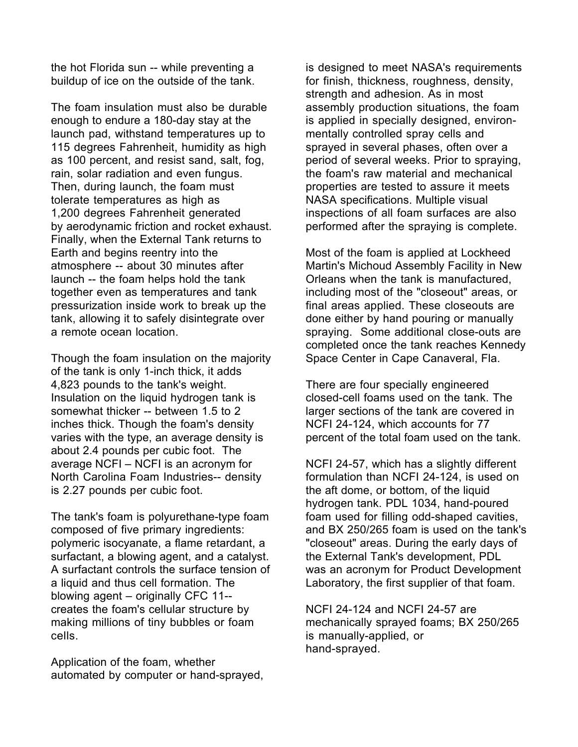the hot Florida sun -- while preventing a buildup of ice on the outside of the tank.

The foam insulation must also be durable enough to endure a 180-day stay at the launch pad, withstand temperatures up to 115 degrees Fahrenheit, humidity as high as 100 percent, and resist sand, salt, fog, rain, solar radiation and even fungus. Then, during launch, the foam must tolerate temperatures as high as 1,200 degrees Fahrenheit generated by aerodynamic friction and rocket exhaust. Finally, when the External Tank returns to Earth and begins reentry into the atmosphere -- about 30 minutes after launch -- the foam helps hold the tank together even as temperatures and tank pressurization inside work to break up the tank, allowing it to safely disintegrate over a remote ocean location.

Though the foam insulation on the majority of the tank is only 1-inch thick, it adds 4,823 pounds to the tank's weight. Insulation on the liquid hydrogen tank is somewhat thicker -- between 1.5 to 2 inches thick. Though the foam's density varies with the type, an average density is about 2.4 pounds per cubic foot. The average NCFI – NCFI is an acronym for North Carolina Foam Industries-- density is 2.27 pounds per cubic foot.

The tank's foam is polyurethane-type foam composed of five primary ingredients: polymeric isocyanate, a flame retardant, a surfactant, a blowing agent, and a catalyst. A surfactant controls the surface tension of a liquid and thus cell formation. The blowing agent – originally CFC 11- creates the foam's cellular structure by making millions of tiny bubbles or foam cells.

Application of the foam, whether automated by computer or hand-sprayed, is designed to meet NASA's requirements for finish, thickness, roughness, density, strength and adhesion. As in most assembly production situations, the foam is applied in specially designed, environmentally controlled spray cells and sprayed in several phases, often over a period of several weeks. Prior to spraying, the foam's raw material and mechanical properties are tested to assure it meets NASA specifications. Multiple visual inspections of all foam surfaces are also performed after the spraying is complete.

Most of the foam is applied at Lockheed Martin's Michoud Assembly Facility in New Orleans when the tank is manufactured, including most of the "closeout" areas, or final areas applied. These closeouts are done either by hand pouring or manually spraying. Some additional close-outs are completed once the tank reaches Kennedy Space Center in Cape Canaveral, Fla.

There are four specially engineered closed-cell foams used on the tank. The larger sections of the tank are covered in NCFI 24-124, which accounts for 77 percent of the total foam used on the tank.

NCFI 24-57, which has a slightly different formulation than NCFI 24-124, is used on the aft dome, or bottom, of the liquid hydrogen tank. PDL 1034, hand-poured foam used for filling odd-shaped cavities, and BX 250/265 foam is used on the tank's "closeout" areas. During the early days of the External Tank's development, PDL was an acronym for Product Development Laboratory, the first supplier of that foam.

NCFI 24-124 and NCFI 24-57 are mechanically sprayed foams; BX 250/265 is manually-applied, or hand-sprayed.